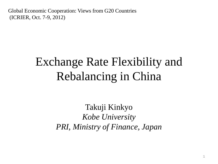Global Economic Cooperation: Views from G20 Countries (ICRIER, Oct. 7-9, 2012)

#### Exchange Rate Flexibility and Rebalancing in China

Takuji Kinkyo *Kobe University PRI, Ministry of Finance, Japan*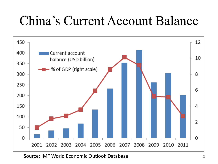### China's Current Account Balance



Source: IMF World Economic Outlook Database <sup>2</sup>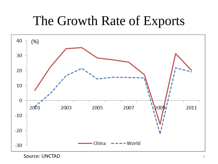### The Growth Rate of Exports



Source: UNCTAD 3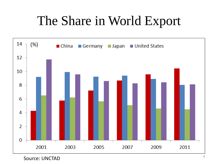### The Share in World Export

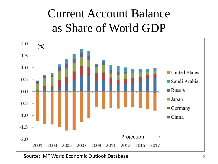### Current Account Balance as Share of World GDP



Source: IMF World Economic Outlook Database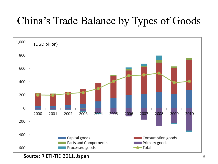#### China's Trade Balance by Types of Goods



Source: RIETI-TID 2011, Japan <sup>6</sup>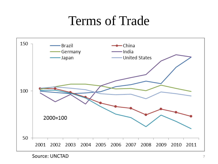#### Terms of Trade



Source: UNCTAD 7 7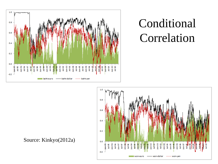

#### Conditional Correlation



Source: Kinkyo(2012a)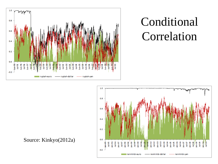

### Conditional Correlation



Source: Kinkyo(2012a)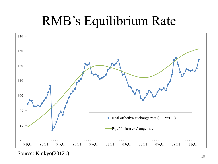# RMB's Equilibrium Rate



Source: Kinkyo(2012b)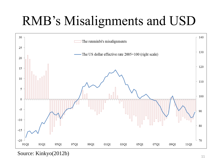# RMB's Misalignments and USD



Source: Kinkyo(2012b)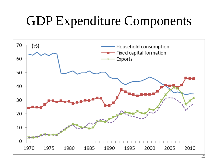### GDP Expenditure Components

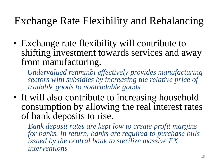#### Exchange Rate Flexibility and Rebalancing

• Exchange rate flexibility will contribute to shifting investment towards services and away from manufacturing*.*

 *Undervalued renminbi effectively provides manufacturing sectors with subsidies by increasing the relative price of tradable goods to nontradable goods* 

• It will also contribute to increasing household consumption by allowing the real interest rates of bank deposits to rise.

 *Bank deposit rates are kept low to create profit margins for banks. In return, banks are required to purchase bills issued by the central bank to sterilize massive FX interventions*